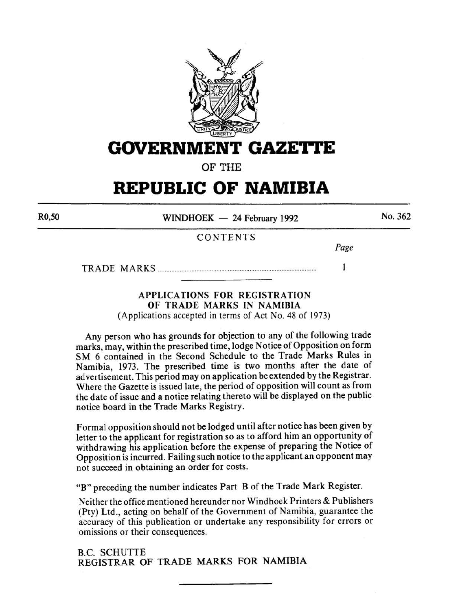

**GOVERNMENT GAZE'ri'E** 

OF THE

# **REPUBLIC OF NAMIBIA**

R0,50

 $WINDHOEK - 24$  February 1992

No. 362

## CONTENTS

*Page* 

 $\mathbf{1}$ 

TRADE MARKS .............................................................................................. .

### APPLICATIONS FOR REGISTRATION OF TRADE MARKS IN NAMIBIA

(Applications accepted in terms of Act No. 48 of 1973)

Any person who has grounds for objection to any of the following trade marks, may, within the prescribed time, lodge Notice of Opposition on form SM 6 contained in the Second Schedule to the Trade Marks Rules in Namibia, 1973. The prescribed time is two months after the date of advertisement. This period may on application be extended by the Registrar. Where the Gazette is issued late, the period of opposition will count as from the date of issue and a notice relating thereto will be displayed on the public notice board in the Trade Marks Registry.

Formal opposition should not be lodged until after notice has been given by letter to the applicant for registration so as to afford him an opportunity of withdrawing his application before the expense of preparing the Notice of Opposition is incurred. Failing such notice to the applicant an opponent may not succeed in obtaining an order for costs.

"B" preceding the number indicates Part B of the Trade Mark Register.

Neither the office mentioned hereunder nor Windhoek Printers & Publishers (Pty) Ltd., acting on behalf of the Government of Namibia, guarantee the accuracy of this publication or undertake any responsibility for errors or omissions or their consequences.

B.C. SCHUTTE REGISTRAR OF TRADE MARKS FOR NAMIBIA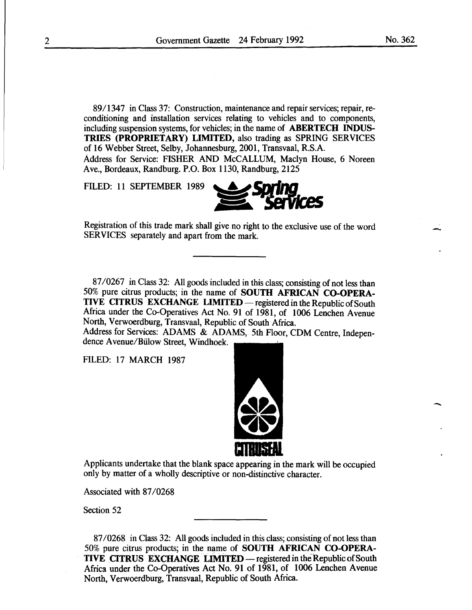89/1347 in Class 37: Construction, maintenance and repair services; repair, reconditioning and installation services relating to vehicles and to components, including suspension systems, for vehicles; in the name of **ABERTECH INDUS-**TRIES (PROPRIETARY) LIMITED, also trading as SPRING SERVICES of 16 Webber Street, Selby, Johannesburg, 2001, Transvaal, R.S.A. Address for Service: FISHER AND McCALLUM, Maclyn House, 6 Noreen Ave., Bordeaux, Randburg. P.O. Box 1130, Randburg, 2125

FILED: 11 SEPTEMBER 1989



87/0267 in Class 32: All goods included in this class; consisting of not less than 50% pure citrus products; in the name of SOUTH AFRICAN CO-OPERA-TIVE CITRUS EXCHANGE LIMITED — registered in the Republic of South Africa under the Co-Operatives Act No. 91 of 1981, of 1006 Lenchen Avenue North, Verwoerdburg, Transvaal, Republic of South Africa.

Address for Services: ADAMS & ADAMS, 5th Floor, CDM Centre, Independence A venue/Biilow Street, Windhoek.

FILED: 17 MARCH 1987



Applicants undertake that the blank space appearing in the mark will be occupied only by matter of a wholly descriptive or non-distinctive character.

Associated with 87/0268

Section 52

87/0268 in Class 32: All goods included in this class; consisting of not less than 50% pure citrus products; in the name of SOUTH AFRICAN CO-OPERA-TIVE CITRUS EXCHANGE LIMITED — registered in the Republic of South Africa under the Co-Operatives Act No. 91 of 1981, of 1006 Lenchen Avenue North, Verwoerdburg, Transvaal, Republic of South Africa.

--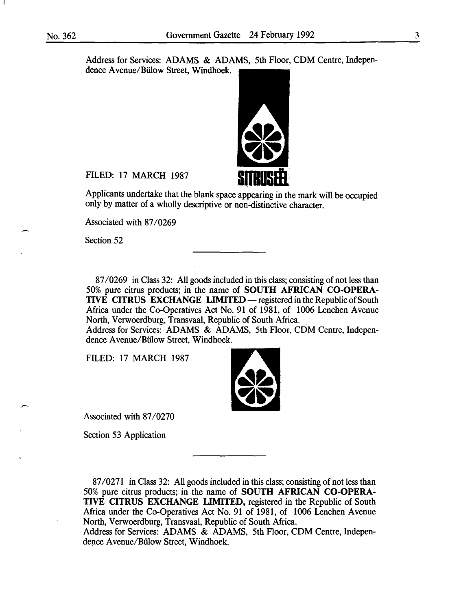Address for Services: ADAMS & ADAMS, 5th Floor, CDM Centre, Independence Avenue/Bülow Street, Windhoek.



FILED: 17 MARCH 1987

Applicants undertake that the blank space appearing in the mark will be occupied only by matter of a wholly descriptive or non-distinctive character.

Associated with 87/0269

Section 52

87/0269 in Class 32: All goods included in this class; consisting of not less than 50% pure citrus products; in the name of SOUTH AFRICAN CO-OPERA-TIVE CITRUS EXCHANGE LIMITED — registered in the Republic of South Africa under the Co-Operatives Act No. 91 of 1981, of 1006 Lenchen Avenue North, Verwoerdburg, Transvaal, Republic of South Africa.

Address for Services: ADAMS & ADAMS, 5th Floor, CDM Centre, Independence Avenue/Bülow Street, Windhoek.

FILED: 17 MARCH 1987



Associated with 87/0270

Section 53 Application

87/0271 in Class 32: All goods included in this class; consisting of not less than 50% pure citrus products; in the name of SOUTH AFRICAN CO-OPERA-TIVE CITRUS EXCHANGE LIMITED, registered in the Republic of South Africa under the Co-Operatives Act No. 91 of 1981, of 1006 Lenchen Avenue North, Verwoerdburg, Transvaal, Republic of South Africa.

Address for Services: ADAMS & ADAMS, 5th Floor, CDM Centre, Independence Avenue/Bülow Street, Windhoek.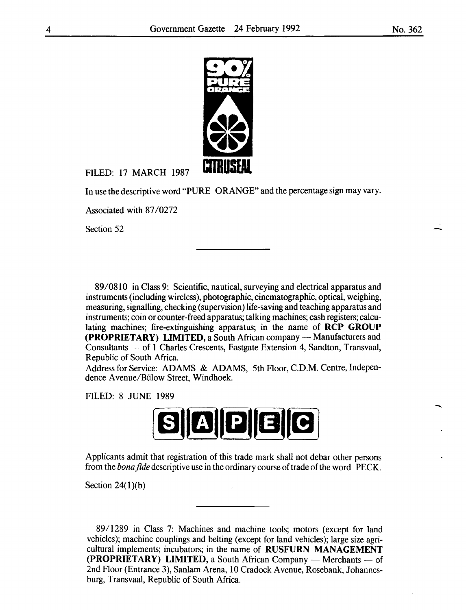

FILED: 17 MARCH 1987

In use the descriptive word "PURE ORANGE" and the percentage sign may vary.

Associated with 87/0272

Section 52

89/0810 in Class 9: Scientific, nautical, surveying and electrical apparatus and instruments (including wireless), photographic, cinematographic, optical, weighing, measuring, signalling, checking (supervision) life-saving and teaching apparatus and instruments; coin or counter-freed apparatus; talking machines; cash registers; calculating machines; fire-extinguishing apparatus; in the name of **RCP GROUP (PROPRIETARY) LIMITED, a South African company - Manufacturers and** Consultants- of **1** Charles Crescents, Eastgate Extension 4, Sandton, Transvaal, Republic of South Africa.

Address for Service: ADAMS & ADAMS, 5th Floor, C.D.M. Centre, Independence A venue/Biilow Street, Windhoek.

FILED: 8 JUNE 1989



Applicants admit that registration of this trade mark shall not debar other persons from the *bona fide* descriptive use in the ordinary course of trade of the word PECK.

Section 24(1)(b)

89/1289 in Class 7: Machines and machine tools; motors (except for land vehicles); machine couplings and belting (except for land vehicles); large size agricultural implements; incubators; in the name of **RUSFURN MANAGEMENT (PROPRIETARY) LIMITED, a South African Company — Merchants — of** 2nd Floor (Entrance 3), Sanlam Arena, 10 Cradock A venue, Rosebank, Johannesburg, Transvaal, Republic of South Africa.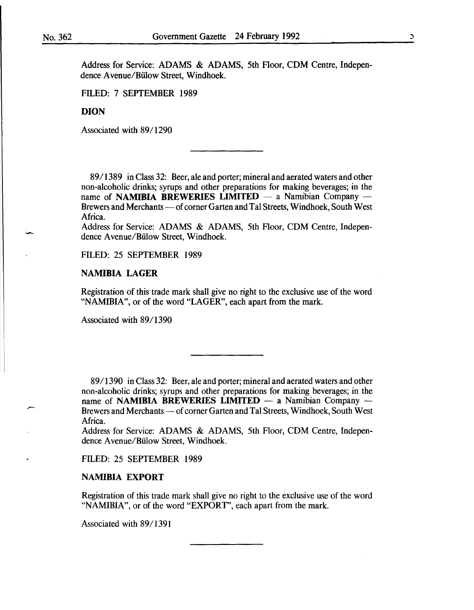Address for Service: ADAMS & ADAMS, 5th Floor, CDM Centre, Independence A venue/Biilow Street, Windhoek.

FILED: 7 SEPTEMBER 1989

#### DION

Associated with 89/1290

89/1389 in Class 32: Beer, ale and porter; mineral and aerated waters and other non-alcoholic drinks; syrups and other preparations for making beverages; in the name of NAMIBIA BREWERIES LIMITED  $-$  a Namibian Company  $-$ Brewers and Merchants — of corner Garten and Tal Streets, Windhoek, South West Africa.

Address for Service: ADAMS & ADAMS, 5th Floor, CDM Centre, Independence A venue/Biilow Street, Windhoek.

FILED: 25 SEPTEMBER 1989

#### NAMIBIA LAGER

Registration of this trade mark shall give no right to the exclusive use of the word "NAMIBIA", or of the word "LAGER", each apart from the mark.

Associated with 89/1390

8911390 in Class 32: Beer, ale and porter; mineral and aerated waters and other non-alcoholic drinks; syrups and other preparations for making beverages; in the name of NAMIBIA BREWERIES LIMITED  $-$  a Namibian Company  $-$ Brewers and Merchants — of corner Garten and Tal Streets, Windhoek, South West Africa.

Address for Service: ADAMS & ADAMS, 5th Floor, CDM Centre, Independence A venue/Biilow Street, Windhoek.

FILED: 25 SEPTEMBER 1989

#### NAMIBIA EXPORT

Registration of this trade mark shall give no right to the exclusive use of the word "NAMIBIA", or of the word "EXPORT", each apart from the mark.

Associated with 89/1391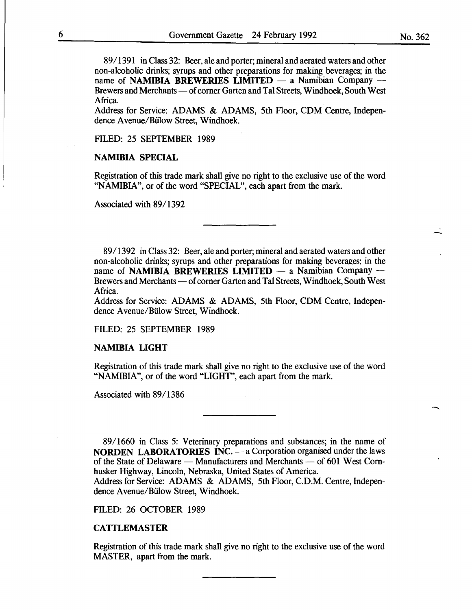8911391 in Class 32: Beer, ale and porter; mineral and aerated waters and other non-alcoholic drinks; syrups and other preparations for making beverages; in the name of NAMIBIA BREWERIES LIMITED  $-$  a Namibian Company  $-$ Brewers and Merchants — of corner Garten and Tal Streets, Windhoek, South West Africa.

Address for Service: ADAMS & ADAMS, 5th Floor, CDM Centre, Independence Avenue/Bülow Street, Windhoek.

FILED: 25 SEPTEMBER 1989

#### NAMIBIA SPECIAL

Registration of this trade mark shall give no right to the exclusive use of the word "NAMIBIA", or of the word "SPECIAL", each apart from the mark.

Associated with 89/1392

89/1392 in Class 32: Beer, ale and porter; mineral and aerated waters and other non-alcoholic drinks; syrups and other preparations for making beverages; in the name of NAMIBIA BREWERIES LIMITED  $-$  a Namibian Company  $-$ Brewers and Merchants — of corner Garten and Tal Streets, Windhoek, South West Africa.

Address for Service: ADAMS & ADAMS, 5th Floor, CDM Centre, Independence Avenue/Bülow Street, Windhoek.

FILED: 25 SEPTEMBER 1989

#### NAMIBIA LIGHT

Registration of this trade mark shall give no right to the exclusive use of the word "NAMIBIA", or of the word "LIGHT", each apart from the mark.

Associated with 89/1386

89/1660 in Class 5: Veterinary preparations and substances; in the name of **NORDEN LABORATORIES INC.**  $-$  a Corporation organised under the laws of the State of Delaware — Manufacturers and Merchants — of 601 West Cornhusker Highway, Lincoln, Nebraska, United States of America.

Address for Service: ADAMS & ADAMS, 5th Floor, C.D.M. Centre, Independence Avenue/Bülow Street, Windhoek.

FILED: 26 OCTOBER 1989

#### CATTLEMASTER

Registration of this trade mark shall give no right to the exclusive use of the word MASTER, apart from the mark.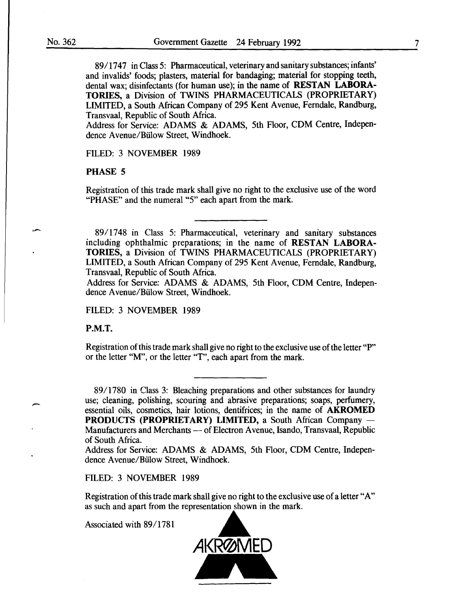89/1747 in Class 5: Pharmaceutical, veterinary and sanitary substances; infants' and invalids' foods; plasters, material for bandaging; material for stopping teeth, dental wax; disinfectants (for human use); in the name of RESTAN LABORA-TORIES, a Division of TWINS PHARMACEUTICALS (PROPRIETARY) LIMITED, a South African Company of 295 Kent Avenue, Ferndale, Randburg, Transvaal, Republic of South Africa.

Address for Service: ADAMS & ADAMS, 5th Floor, CDM Centre, Independence Avenue/Bülow Street, Windhoek.

FILED: 3 NOVEMBER 1989

#### PHASE 5

Registration of this trade mark shall give no right to the exclusive use of the word "PHASE" and the numeral "5" each apart from the mark.

89/1748 in Class 5: Pharmaceutical, veterinary and sanitary substances including ophthalmic preparations; in the name of RESTAN LABORA-TORIES, a Division of TWINS PHARMACEUTICALS (PROPRIETARY) LIMITED, a South African Company of 295 Kent A venue, Ferndale, Randburg, Transvaal, Republic of South Africa.

Address for Service: ADAMS & ADAMS, 5th Floor, CDM Centre, Independence Avenue/Bülow Street, Windhoek.

#### FILED: 3 NOVEMBER 1989

P.M.T.

 $\overline{\phantom{a}}$ 

Registration of this trade mark shall give no right to the exclusive use of the letter "P" or the letter "M", or the letter "T", each apart from the mark.

89/1780 in Class 3: Bleaching preparations and other substances for laundry use; cleaning, polishing, scouring and abrasive preparations; soaps, perfumery, essential oils, cosmetics, hair lotions, dentifrices; in the name of AKROMED PRODUCTS (PROPRIETARY) LIMITED, a South African Company -Manufacturers and Merchants - of Electron Avenue, Isando, Transvaal, Republic of South Africa.

Address for Service: ADAMS & ADAMS, 5th Floor, CDM Centre, Independence A venue/Biilow Street, Windhoek.

#### FILED: 3 NOVEMBER 1989

Registration of this trade mark shall give no right to the exclusive use of a letter "A" as such and apart from the representation shown in the mark.

Associated with 89/1781

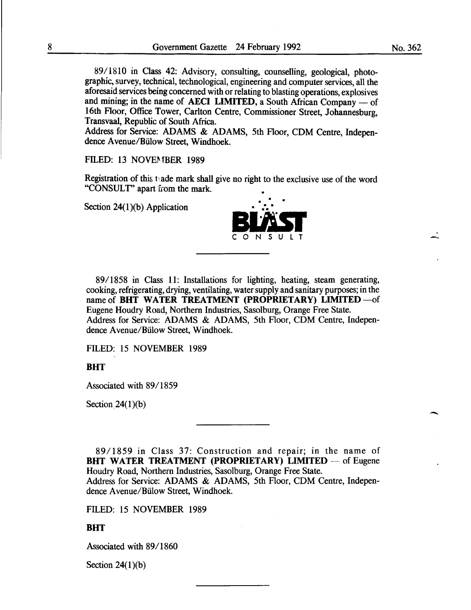89/1810 in Class 42: Advisory, consulting, counselling, geological, photographic, survey, technical, technological, engineering and computer services, all the aforesaid services being concerned with or relating to blasting operations, explosives and mining; in the name of **AECI LIMITED**, a South African Company  $-$  of 16th Floor, Office Tower, Carlton Centre, Commissioner Street, Johannesburg, Transvaal, Republic of South Africa.

Address for Service: ADAMS & ADAMS, 5th Floor, CDM Centre, Independence A venue/Billow Street, Windhoek.

#### FILED: 13 NOVEMBER 1989

Registration of this t;ade mark shall give no right to the exclusive use of the word "CONSULT" apart from the mark.

Section  $24(1)(b)$  Application



89/1858 in Class 11: Installations for lighting, heating, steam generating, cooking, refrigerating, drying, ventilating, water supply and sanitary purposes; in the name of BHT WATER TREATMENT (PROPRIETARY) LIMITED  $-$  of  $\overline{\phantom{a}}$ Eugene Houdry Road, Northern Industries, Sasolburg, Orange Free State. Address for Service: ADAMS & ADAMS, 5th Floor, COM Centre, Independence A venue/Biilow Street, Windhoek.

FILED: 15 NOVEMBER 1989

#### **BHT**

Associated with 89/1859

Section  $24(1)(b)$ 

89/1859 in Class 37: Construction and repair; in the name of BHT WATER TREATMENT (PROPRIETARY) LIMITED  $-$  of Eugene Houdry Road, Northern Industries, Sasolburg, Orange Free State. Address for Service: ADAMS & ADAMS, 5th Floor, COM Centre, Independence Avenue/Bülow Street, Windhoek.

FILED: 15 NOVEMBER 1989

#### **BHT**

Associated with 89/1860

Section  $24(1)(b)$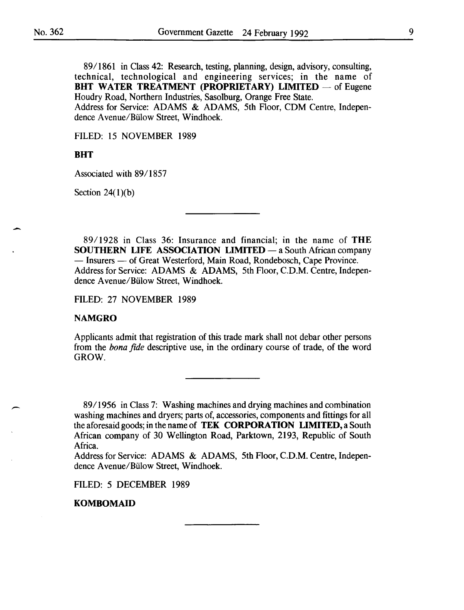$\overline{\phantom{0}}$ 

-

89/1861 in Class 42: Research, testing, planning, design, advisory, consulting, technical, technological and engineering services; in the name of **BHT WATER TREATMENT (PROPRIETARY) LIMITED** — of Eugene Houdry Road, Northern Industries, Sasolburg, Orange Free State. Address for Service: ADAMS & ADAMS, 5th Floor, CDM Centre, Independence A venue/Biilow Street, Windhoek.

FILED: 15 NOVEMBER 1989

#### **BHT**

Associated with 89/1857

Section  $24(1)(b)$ 

89 I 1928 in Class 36: Insurance and financial; in the name of **THE SOUTHERN LIFE ASSOCIATION LIMITED** - a South African company - Insurers - of Great Westerford, Main Road, Rondebosch, Cape Province. Address for Service: ADAMS & ADAMS, 5th Floor, C.D.M. Centre, Independence A venue/Biilow Street, Windhoek.

FILED: 27 NOVEMBER 1989

#### **NAMGRO**

Applicants admit that registration of this trade mark shall not debar other persons from the *bona fide* descriptive use, in the ordinary course of trade, of the word GROW.

89/1956 in Class 7: Washing machines and drying machines and combination washing machines and dryers; parts of, accessories, components and fittings for all the aforesaid goods; in the name of **TEK CORPORATION LIMITED,** a South African company of 30 Wellington Road, Parktown, 2193, Republic of South Africa.

Address for Service: ADAMS & ADAMS, 5th Floor, C.D.M. Centre, Independence A venue/Biilow Street, Windhoek.

FILED: 5 DECEMBER 1989

#### **KOMBOMAID**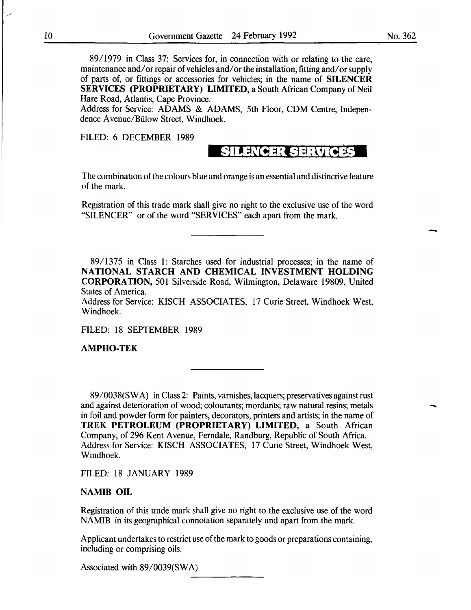8911979 in Class 37: Services for, in connection with or relating to the care, maintenance and/or repair of vehicles and/or the installation, fitting and/or supply of parts of, or fittings or accessories for vehicles; in the name of **SILENCER SERVICES (PROPRIETARY) LIMITED,** a South African Company of Neil Hare Road, Atlantis, Cape Province.

Address for Service: ADAMS & ADAMS, 5th Floor, CDM Centre, Independence A venue/Biilow Street, Windhoek.

FILED: 6 DECEMBER 1989

# **SILENCER SERVICES**

The combination of the colours blue and orange is an essential and distinctive feature of the mark.

Registration of this trade mark shall give no right to the exclusive use of the word "SILENCER" or of the word "SERVICES" each apart from the mark.

89/1375 in Class **1:** Starches used for industrial processes; in the name of **NATIONAL STARCH AND CHEMICAL INVESTMENT HOLDING CORPORATION,** 501 Silverside Road, Wilmington, Delaware 19809, United States of America.

Address for Service: KISCH ASSOCIATES, 17 Curie Street, Windhoek West, Windhoek.

FILED: 18 SEPTEMBER 1989

**AMPHO-TEK** 

89/0038(SW A) in Class 2: Paints, varnishes, lacquers; preservatives against rust and against deterioration of wood; colourants; mordants; raw natural resins; metals in foil and powder form for painters, decorators, printers and artists; in the name of **TREK PETROLEUM (PROPRIETARY) LIMITED,** a South African Company, of 296 Kent Avenue, Ferndale, Randburg, Republic of South Africa. Address for Service: KISCH ASSOCIATES, 17 Curie Street, Windhoek West, Windhoek.

FILED: 18 JANUARY 1989

#### **NAMIB OIL**

Registration of this trade mark shall give no right to the exclusive use of the word NAMIB in its geographical connotation separately and apart from the mark.

Applicant undertakes to restrict use of the mark to goods or preparations containing, including or comprising oils.

Associated with 89/0039(SWA)

-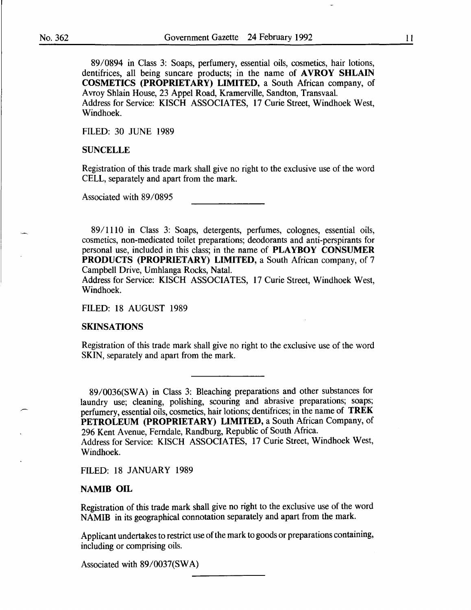89/0894 in Class 3: Soaps, perfumery, essential oils, cosmetics, hair lotions, dentifrices, all being suncare products; in the name of **AVROY SHLAIN** COSMETICS (PROPRIETARY) LIMITED, a South African company, of A vroy Shlain House, 23 Appel Road, Kramerville, Sandton, Transvaal. Address for Service: KISCH ASSOCIATES, 17 Curie Street, Windhoek West, Windhoek.

FILED: 30 JUNE 1989

#### **SUNCELLE**

Registration of this trade mark shall give no right to the exclusive use of the word CELL, separately and apart from the mark.

Associated with 89/0895

89/1110 in Class 3: Soaps, detergents, perfumes, colognes, essential oils, cosmetics, non-medicated toilet preparations; deodorants and anti-perspirants for personal use, included in this class; in the name of PLAYBOY CONSUMER PRODUCTS (PROPRIETARY) LIMITED, a South African company, of 7 Campbell Drive, Umhlanga Rocks, Natal.

Address for Service: KISCH ASSOCIATES, 17 Curie Street, Windhoek West, Windhoek.

FILED: 18 AUGUST 1989

#### SKINSATIONS

Registration of this trade mark shall give no right to the exclusive use of the word SKIN, separately and apart from the mark.

89/0036(SWA) in Class 3: Bleaching preparations and other substances for laundry use; cleaning, polishing, scouring and abrasive preparations; soaps; perfumery, essential oils, cosmetics, hair lotions; dentifrices; in the name of TREK PETROLEUM (PROPRIETARY) LIMITED, a South African Company, of 296 Kent Avenue, Ferndale, Randburg, Republic of South Africa.

Address for Service: KISCH ASSOCIATES, 17 Curie Street, Windhoek West, Windhoek.

FILED: 18 JANUARY 1989

#### NAMIB OIL

Registration of this trade mark shall give no right to the exclusive use of the word NAMIB in its geographical connotation separately and apart from the mark.

Applicant undertakes to restrict use of the mark to goods or preparations containing, including or comprising oils.

Associated with 89/0037(SWA)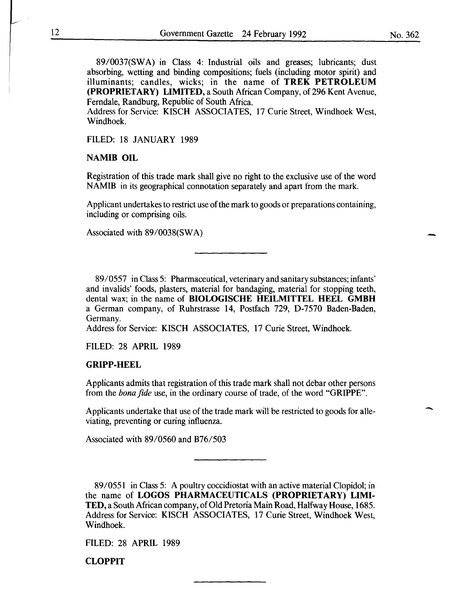89/0037(SWA) in Class 4: Industrial oils and greases; lubricants; dust absorbing, wetting and binding compositions; fuels (including motor spirit) and illuminants; candles, wicks; in the name of TREK PETROLEUM (PROPRIETARY) LIMITED, a South African Company, of 296 Kent Avenue, Ferndale, Randburg, Republic of South Africa.

Address for Service: KISCH ASSOCIATES, 17 Curie Street, Windhoek West, Windhoek.

FILED: 18 JANUARY 1989

#### NAMIB OIL

Registration of this trade mark shall give no right to the exclusive use of the word NAMIB in its geographical connotation separately and apart from the mark.

Applicant undertakes to restrict use of the mark to goods or preparations containing, including or comprising oils.

Associated with 89/0038(SW A)

89/0557 in Class 5: Pharmaceutical, veterinary and sanitary substances; infants' and invalids' foods, plasters, material for bandaging, material for stopping teeth, dental wax; in the name of BIOLOGISCHE HEILMITTEL HEEL GMBH a German company, of Ruhrstrasse 14, Postfach 729, D-7570 Baden-Baden, Germany.

Address for Service: KISCH ASSOCIATES, 17 Curie Street, Windhoek.

FILED: 28 APRIL 1989

#### GRIPP-HEEL

Applicants admits that registration of this trade mark shall not debar other persons from the *bona fide* use, in the ordinary course of trade, of the word "GRIPPE".

Applicants undertake that use of the trade mark will be restricted to goods for alleviating, preventing or curing influenza.

Associated with 89/0560 and B76/503

89/0551 in Class 5: A poultry coccidiostat with an active material Clopidol; in the name of LOGOS PHARMACEUTICALS (PROPRIETARY) LIMI-TED, a South African company, of Old Pretoria Main Road, Halfway House, 1685. Address for Service: KISCH ASSOCIATES, 17 Curie Street, Windhoek West, Windhoek.

FILED: 28 APRIL 1989

**CLOPPIT** 

-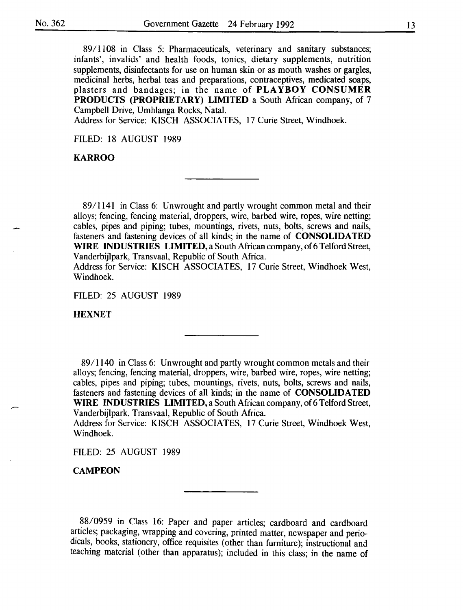89/1108 in Class 5: Pharmaceuticals, veterinary and sanitary substances; infants', invalids' and health foods, tonics, dietary supplements, nutrition supplements, disinfectants for use on human skin or as mouth washes or gargles, medicinal herbs, herbal teas and preparations, contraceptives, medicated soaps, plasters and bandages; in the name of **PLAYBOY CONSUMER PRODUCTS (PROPRIETARY) LIMITED** a South African company, of 7 Campbell Drive, Umhlanga Rocks, Natal.

Address for Service: KISCH ASSOCIATES, 17 Curie Street, Windhoek.

FILED: 18 AUGUST 1989

**KARROO** 

89/1141 in Class 6: Unwrought and partly wrought common metal and their alloys; fencing, fencing material, droppers, wire, barbed wire, ropes, wire netting; cables, pipes and piping; tubes, mountings, rivets, nuts, bolts, screws and nails, fasteners and fastening devices of all kinds; in the name of **CONSOLIDATED WIRE INDUSTRIES LIMITED,** a South African company, of 6 Telford Street, Vanderbijlpark, Transvaal, Republic of South Africa.

Address for Service: KISCH ASSOCIATES, 17 Curie Street, Windhoek West, Windhoek.

FILED: 25 AUGUST 1989

**HEXNET** 

89/1140 in Class 6: Unwrought and partly wrought common metals and their alloys; fencing, fencing material, droppers, wire, barbed wire, ropes, wire netting; cables, pipes and piping; tubes, mountings, rivets, nuts, bolts, screws and nails, fasteners and fastening devices of all kinds; in the name of **CONSOLIDATED WIRE INDUSTRIES LIMITED,** a South African company, of 6 Telford Street, Vanderbijlpark, Transvaal, Republic of South Africa.

Address for Service: KISCH ASSOCIATES, 17 Curie Street, Windhoek West, Windhoek.

FILED: 25 AUGUST 1989

**CAMP EON** 

88/0959 in Class 16: Paper and paper articles; cardboard and cardboard articles; packaging, wrapping and covering, printed matter, newspaper and periodicals, books, stationery, office requisites (other than furniture); instructional and teaching material (other than apparatus); included in this class; in the name of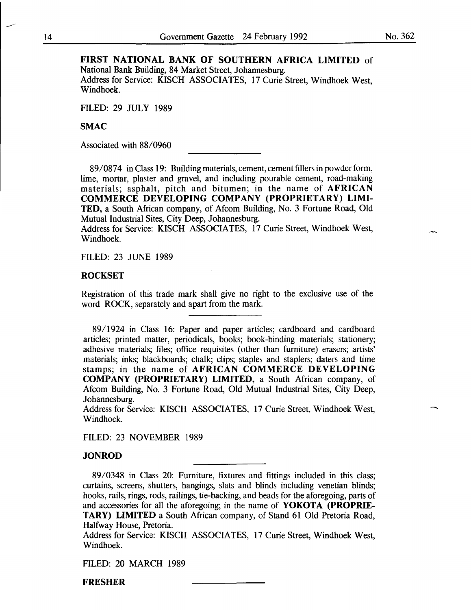-

#### FIRST NATIONAL BANK OF SOUTHERN AFRICA LIMITED of National Bank Building, 84 Market Street, Johannesburg.

Address for Service: KISCH ASSOCIATES, 17 Curie Street, Windhoek West, Windhoek.

FILED: 29 JULY 1989

#### SMAC

Associated with 88/0960

89/0874 in Class 19: Building materials, cement, cement fillers in powder form, lime, mortar, plaster and gravel, and including pourable cement, road-making materials; asphalt, pitch and bitumen; in the name of AFRICAN COMMERCE DEVELOPING COMPANY (PROPRIETARY) LIMI-TED, a South African company, of Afcom Building, No. 3 Fortune Road, Old Mutual Industrial Sites, City Deep, Johannesburg.

Address for Service: KISCH ASSOCIATES, 17 Curie Street, Windhoek West, Windhoek.

FILED: 23 JUNE 1989

#### **ROCKSET**

Registration of this trade mark shall give no right to the exclusive use of the word ROCK, separately and apart from the mark.

89/1924 in Class 16: Paper and paper articles; cardboard and cardboard articles; printed matter, periodicals, books; book-binding materials; stationery; adhesive materials; files; office requisites (other than furniture) erasers; artists' materials; inks; blackboards; chalk; clips; staples and staplers; daters and time stamps; in the name of AFRICAN COMMERCE DEVELOPING COMPANY (PROPRIETARY) LIMITED, a South African company, of Afcom Building, No. 3 Fortune Road, Old Mutual Industrial Sites, City Deep, Johannesburg.

Address for Service: KISCH ASSOCIATES, 17 Curie Street, Windhoek West, Windhoek.

FILED: 23 NOVEMBER 1989

#### JONROD

89/0348 in Class 20: Furniture, fixtures and fittings included in this class; curtains, screens, shutters, hangings, slats and blinds including venetian blinds; hooks, rails, rings, rods, railings, tie-backing, and beads for the aforegoing, parts of and accessories for all the aforegoing; in the name of YOKOTA (PROPRIE-TARY) LIMITED a South African company, of Stand 61 Old Pretoria Road, Halfway House, Pretoria.

Address for Service: KISCH ASSOCIATES, 17 Curie Street, Windhoek West, Windhoek.

FILED: 20 MARCH 1989

FRESHER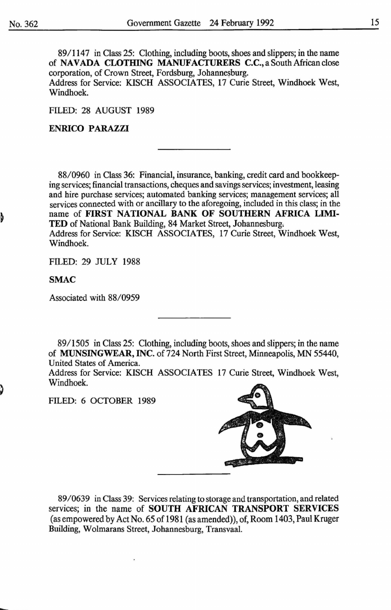89/1147 in Class 25: Clothing, including boots, shoes and slippers; in the name of NAVADA CLOTHING MANUFACTURERS C.C., a South African close corporation, of Crown Street, Fordsburg, Johannesburg. Address for Service: KISCH ASSOCIATES, 17 Curie Street, Windhoek West, Windhoek.

FILED: 28 AUGUST 1989

#### ENRICO PARAZZI

88/0960 in Class 36: Financial, insurance, banking, credit card and bookkeeping services; financial transactions, cheques and savings services; investment, leasing and hire purchase services; automated banking services; management services; all services connected with or ancillary to the aforegoing, included in this class; in the name of FIRST NATIONAL BANK OF SOUTHERN AFRICA LIMI-TED of National Bank Building, 84 Market Street, Johannesburg. Address for Service: KISCH ASSOCIATES, 17 Curie Street, Windhoek West, Windhoek.

FILED: 29 JULY 1988

SMAC

Associated with 88/0959

89/1505 in Class 25: Clothing, including boots, shoes and slippers; in the name of MUNSINGWEAR, INC. of 724 North First Street, Minneapolis, MN 55440, United States of America.

Address for Service: KISCH ASSOCIATES 17 Curie Street, Windhoek West, Windhoek.

FILED: 6 OCTOBER 1989



89/0639 in Class 39: Services relating to storage and transportation, and related services; in the name of SOUTH AFRICAN TRANSPORT SERVICES (as empowered by Act No. 65 of 1981 (as amended)), of, Room 1403, Paul Kruger Building, Wolmarans Street, Johannesburg, Transvaal.